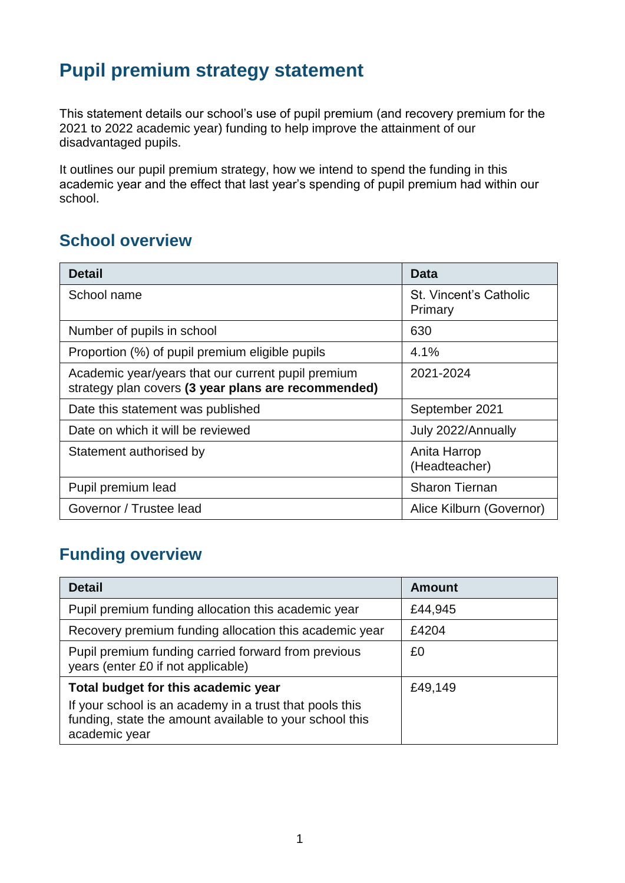## **Pupil premium strategy statement**

This statement details our school's use of pupil premium (and recovery premium for the 2021 to 2022 academic year) funding to help improve the attainment of our disadvantaged pupils.

It outlines our pupil premium strategy, how we intend to spend the funding in this academic year and the effect that last year's spending of pupil premium had within our school.

### **School overview**

| <b>Detail</b>                                                                                             | Data                                     |
|-----------------------------------------------------------------------------------------------------------|------------------------------------------|
| School name                                                                                               | <b>St. Vincent's Catholic</b><br>Primary |
| Number of pupils in school                                                                                | 630                                      |
| Proportion (%) of pupil premium eligible pupils                                                           | 4.1%                                     |
| Academic year/years that our current pupil premium<br>strategy plan covers (3 year plans are recommended) | 2021-2024                                |
| Date this statement was published                                                                         | September 2021                           |
| Date on which it will be reviewed                                                                         | July 2022/Annually                       |
| Statement authorised by                                                                                   | Anita Harrop<br>(Headteacher)            |
| Pupil premium lead                                                                                        | <b>Sharon Tiernan</b>                    |
| Governor / Trustee lead                                                                                   | Alice Kilburn (Governor)                 |

## **Funding overview**

| <b>Detail</b>                                                                                                                                                              | <b>Amount</b> |
|----------------------------------------------------------------------------------------------------------------------------------------------------------------------------|---------------|
| Pupil premium funding allocation this academic year                                                                                                                        | £44,945       |
| Recovery premium funding allocation this academic year                                                                                                                     | £4204         |
| Pupil premium funding carried forward from previous<br>years (enter £0 if not applicable)                                                                                  | £0            |
| Total budget for this academic year<br>If your school is an academy in a trust that pools this<br>funding, state the amount available to your school this<br>academic year | £49,149       |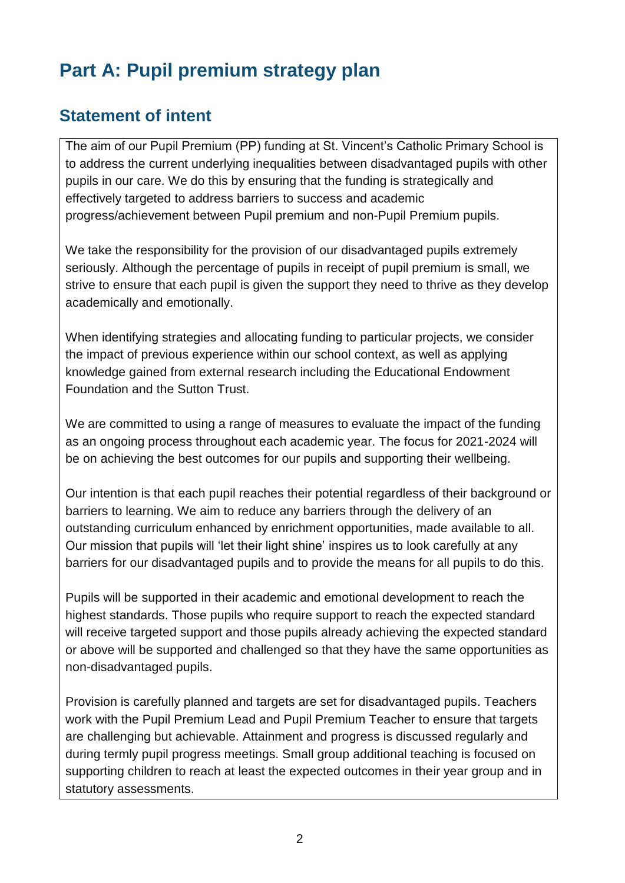# **Part A: Pupil premium strategy plan**

### **Statement of intent**

The aim of our Pupil Premium (PP) funding at St. Vincent's Catholic Primary School is to address the current underlying inequalities between disadvantaged pupils with other pupils in our care. We do this by ensuring that the funding is strategically and effectively targeted to address barriers to success and academic progress/achievement between Pupil premium and non-Pupil Premium pupils.

We take the responsibility for the provision of our disadvantaged pupils extremely seriously. Although the percentage of pupils in receipt of pupil premium is small, we strive to ensure that each pupil is given the support they need to thrive as they develop academically and emotionally.

When identifying strategies and allocating funding to particular projects, we consider the impact of previous experience within our school context, as well as applying knowledge gained from external research including the Educational Endowment Foundation and the Sutton Trust.

We are committed to using a range of measures to evaluate the impact of the funding as an ongoing process throughout each academic year. The focus for 2021-2024 will be on achieving the best outcomes for our pupils and supporting their wellbeing.

Our intention is that each pupil reaches their potential regardless of their background or barriers to learning. We aim to reduce any barriers through the delivery of an outstanding curriculum enhanced by enrichment opportunities, made available to all. Our mission that pupils will 'let their light shine' inspires us to look carefully at any barriers for our disadvantaged pupils and to provide the means for all pupils to do this.

Pupils will be supported in their academic and emotional development to reach the highest standards. Those pupils who require support to reach the expected standard will receive targeted support and those pupils already achieving the expected standard or above will be supported and challenged so that they have the same opportunities as non-disadvantaged pupils.

Provision is carefully planned and targets are set for disadvantaged pupils. Teachers work with the Pupil Premium Lead and Pupil Premium Teacher to ensure that targets are challenging but achievable. Attainment and progress is discussed regularly and during termly pupil progress meetings. Small group additional teaching is focused on supporting children to reach at least the expected outcomes in their year group and in statutory assessments.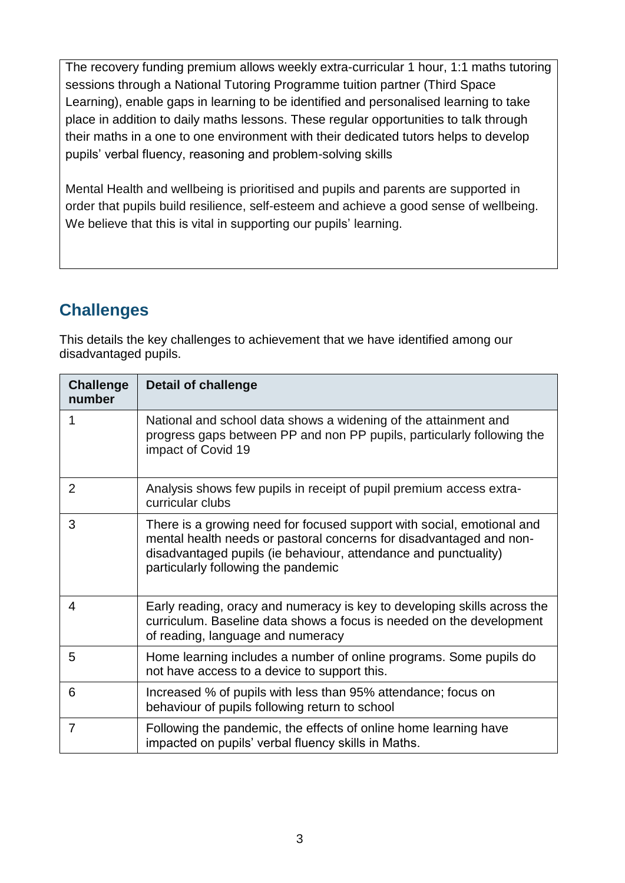The recovery funding premium allows weekly extra-curricular 1 hour, 1:1 maths tutoring sessions through a National Tutoring Programme tuition partner (Third Space Learning), enable gaps in learning to be identified and personalised learning to take place in addition to daily maths lessons. These regular opportunities to talk through their maths in a one to one environment with their dedicated tutors helps to develop pupils' verbal fluency, reasoning and problem-solving skills

Mental Health and wellbeing is prioritised and pupils and parents are supported in order that pupils build resilience, self-esteem and achieve a good sense of wellbeing. We believe that this is vital in supporting our pupils' learning.

### **Challenges**

This details the key challenges to achievement that we have identified among our disadvantaged pupils.

| <b>Challenge</b><br>number | <b>Detail of challenge</b>                                                                                                                                                                                                                              |
|----------------------------|---------------------------------------------------------------------------------------------------------------------------------------------------------------------------------------------------------------------------------------------------------|
| 1                          | National and school data shows a widening of the attainment and<br>progress gaps between PP and non PP pupils, particularly following the<br>impact of Covid 19                                                                                         |
| 2                          | Analysis shows few pupils in receipt of pupil premium access extra-<br>curricular clubs                                                                                                                                                                 |
| 3                          | There is a growing need for focused support with social, emotional and<br>mental health needs or pastoral concerns for disadvantaged and non-<br>disadvantaged pupils (ie behaviour, attendance and punctuality)<br>particularly following the pandemic |
| 4                          | Early reading, oracy and numeracy is key to developing skills across the<br>curriculum. Baseline data shows a focus is needed on the development<br>of reading, language and numeracy                                                                   |
| 5                          | Home learning includes a number of online programs. Some pupils do<br>not have access to a device to support this.                                                                                                                                      |
| 6                          | Increased % of pupils with less than 95% attendance; focus on<br>behaviour of pupils following return to school                                                                                                                                         |
| 7                          | Following the pandemic, the effects of online home learning have<br>impacted on pupils' verbal fluency skills in Maths.                                                                                                                                 |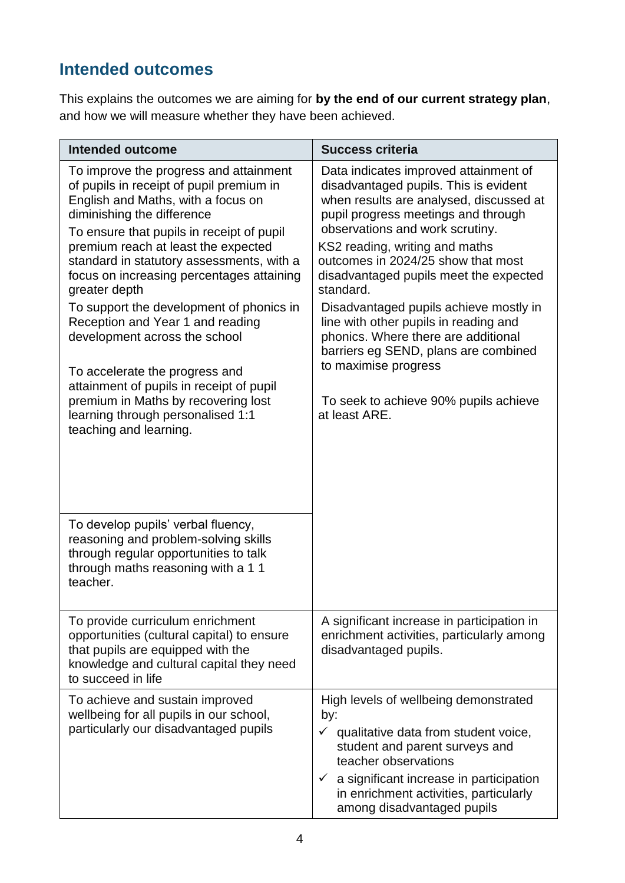## **Intended outcomes**

This explains the outcomes we are aiming for **by the end of our current strategy plan**, and how we will measure whether they have been achieved.

| <b>Intended outcome</b>                                                                                                                                                                                                                                                                                                                                                                                                                                                                                                                                                                                                                                    | <b>Success criteria</b>                                                                                                                                                                                                                                                                                                                                                                                                                                                                                                                                                                |
|------------------------------------------------------------------------------------------------------------------------------------------------------------------------------------------------------------------------------------------------------------------------------------------------------------------------------------------------------------------------------------------------------------------------------------------------------------------------------------------------------------------------------------------------------------------------------------------------------------------------------------------------------------|----------------------------------------------------------------------------------------------------------------------------------------------------------------------------------------------------------------------------------------------------------------------------------------------------------------------------------------------------------------------------------------------------------------------------------------------------------------------------------------------------------------------------------------------------------------------------------------|
| To improve the progress and attainment<br>of pupils in receipt of pupil premium in<br>English and Maths, with a focus on<br>diminishing the difference<br>To ensure that pupils in receipt of pupil<br>premium reach at least the expected<br>standard in statutory assessments, with a<br>focus on increasing percentages attaining<br>greater depth<br>To support the development of phonics in<br>Reception and Year 1 and reading<br>development across the school<br>To accelerate the progress and<br>attainment of pupils in receipt of pupil<br>premium in Maths by recovering lost<br>learning through personalised 1:1<br>teaching and learning. | Data indicates improved attainment of<br>disadvantaged pupils. This is evident<br>when results are analysed, discussed at<br>pupil progress meetings and through<br>observations and work scrutiny.<br>KS2 reading, writing and maths<br>outcomes in 2024/25 show that most<br>disadvantaged pupils meet the expected<br>standard.<br>Disadvantaged pupils achieve mostly in<br>line with other pupils in reading and<br>phonics. Where there are additional<br>barriers eg SEND, plans are combined<br>to maximise progress<br>To seek to achieve 90% pupils achieve<br>at least ARE. |
| To develop pupils' verbal fluency,<br>reasoning and problem-solving skills<br>through regular opportunities to talk<br>through maths reasoning with a 11<br>teacher.                                                                                                                                                                                                                                                                                                                                                                                                                                                                                       |                                                                                                                                                                                                                                                                                                                                                                                                                                                                                                                                                                                        |
| To provide curriculum enrichment<br>opportunities (cultural capital) to ensure<br>that pupils are equipped with the<br>knowledge and cultural capital they need<br>to succeed in life                                                                                                                                                                                                                                                                                                                                                                                                                                                                      | A significant increase in participation in<br>enrichment activities, particularly among<br>disadvantaged pupils.                                                                                                                                                                                                                                                                                                                                                                                                                                                                       |
| To achieve and sustain improved<br>wellbeing for all pupils in our school,<br>particularly our disadvantaged pupils                                                                                                                                                                                                                                                                                                                                                                                                                                                                                                                                        | High levels of wellbeing demonstrated<br>by:<br>$\checkmark$<br>qualitative data from student voice,<br>student and parent surveys and<br>teacher observations<br>a significant increase in participation<br>$\checkmark$<br>in enrichment activities, particularly<br>among disadvantaged pupils                                                                                                                                                                                                                                                                                      |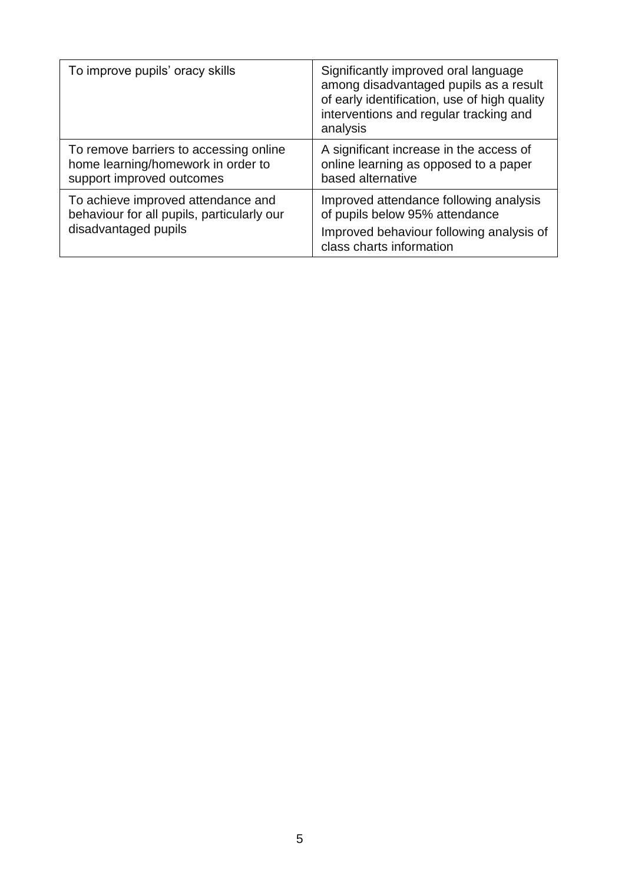| To improve pupils' oracy skills                                                                           | Significantly improved oral language<br>among disadvantaged pupils as a result<br>of early identification, use of high quality<br>interventions and regular tracking and<br>analysis |
|-----------------------------------------------------------------------------------------------------------|--------------------------------------------------------------------------------------------------------------------------------------------------------------------------------------|
| To remove barriers to accessing online<br>home learning/homework in order to<br>support improved outcomes | A significant increase in the access of<br>online learning as opposed to a paper<br>based alternative                                                                                |
| To achieve improved attendance and<br>behaviour for all pupils, particularly our<br>disadvantaged pupils  | Improved attendance following analysis<br>of pupils below 95% attendance<br>Improved behaviour following analysis of<br>class charts information                                     |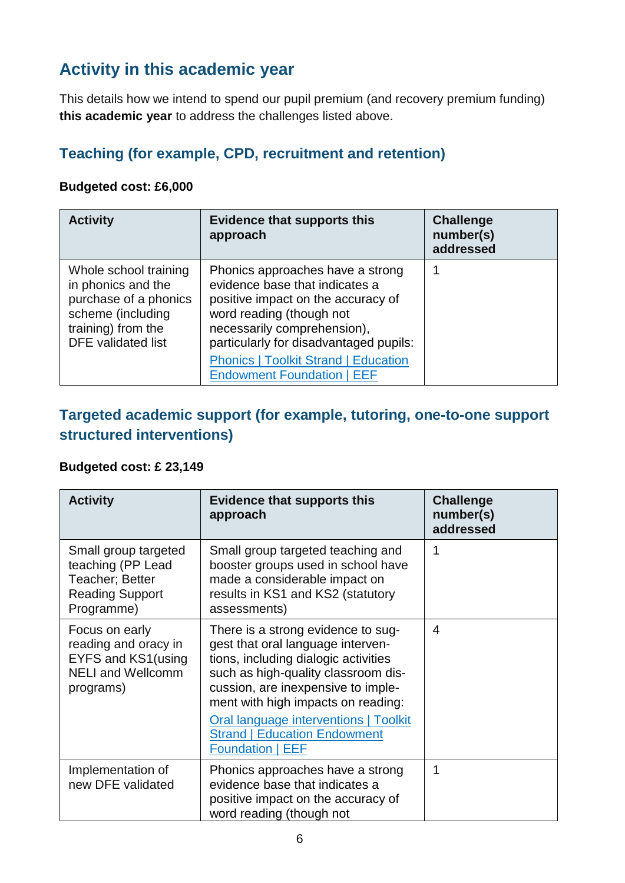## **Activity in this academic year**

This details how we intend to spend our pupil premium (and recovery premium funding) **this academic year** to address the challenges listed above.

### **Teaching (for example, CPD, recruitment and retention)**

#### **Budgeted cost: £6,000**

| <b>Activity</b>                                                                                                                              | <b>Evidence that supports this</b><br>approach                                                                                                                                                                | <b>Challenge</b><br>number(s)<br>addressed |
|----------------------------------------------------------------------------------------------------------------------------------------------|---------------------------------------------------------------------------------------------------------------------------------------------------------------------------------------------------------------|--------------------------------------------|
| Whole school training<br>in phonics and the<br>purchase of a phonics<br>scheme (including<br>training) from the<br><b>DFE</b> validated list | Phonics approaches have a strong<br>evidence base that indicates a<br>positive impact on the accuracy of<br>word reading (though not<br>necessarily comprehension),<br>particularly for disadvantaged pupils: |                                            |
|                                                                                                                                              | <b>Phonics   Toolkit Strand   Education</b><br><b>Endowment Foundation   EEF</b>                                                                                                                              |                                            |

### **Targeted academic support (for example, tutoring, one-to-one support structured interventions)**

#### **Budgeted cost: £ 23,149**

| <b>Activity</b>                                                                                       | <b>Evidence that supports this</b><br>approach                                                                                                                                                                                                                                                                                                | <b>Challenge</b><br>number(s)<br>addressed |
|-------------------------------------------------------------------------------------------------------|-----------------------------------------------------------------------------------------------------------------------------------------------------------------------------------------------------------------------------------------------------------------------------------------------------------------------------------------------|--------------------------------------------|
| Small group targeted<br>teaching (PP Lead<br>Teacher; Better<br><b>Reading Support</b><br>Programme)  | Small group targeted teaching and<br>booster groups used in school have<br>made a considerable impact on<br>results in KS1 and KS2 (statutory<br>assessments)                                                                                                                                                                                 |                                            |
| Focus on early<br>reading and oracy in<br>EYFS and KS1(using<br><b>NELI and Wellcomm</b><br>programs) | There is a strong evidence to sug-<br>gest that oral language interven-<br>tions, including dialogic activities<br>such as high-quality classroom dis-<br>cussion, are inexpensive to imple-<br>ment with high impacts on reading:<br>Oral language interventions   Toolkit<br><b>Strand   Education Endowment</b><br><b>Foundation   EEF</b> | 4                                          |
| Implementation of<br>new DFE validated                                                                | Phonics approaches have a strong<br>evidence base that indicates a<br>positive impact on the accuracy of<br>word reading (though not                                                                                                                                                                                                          | 1                                          |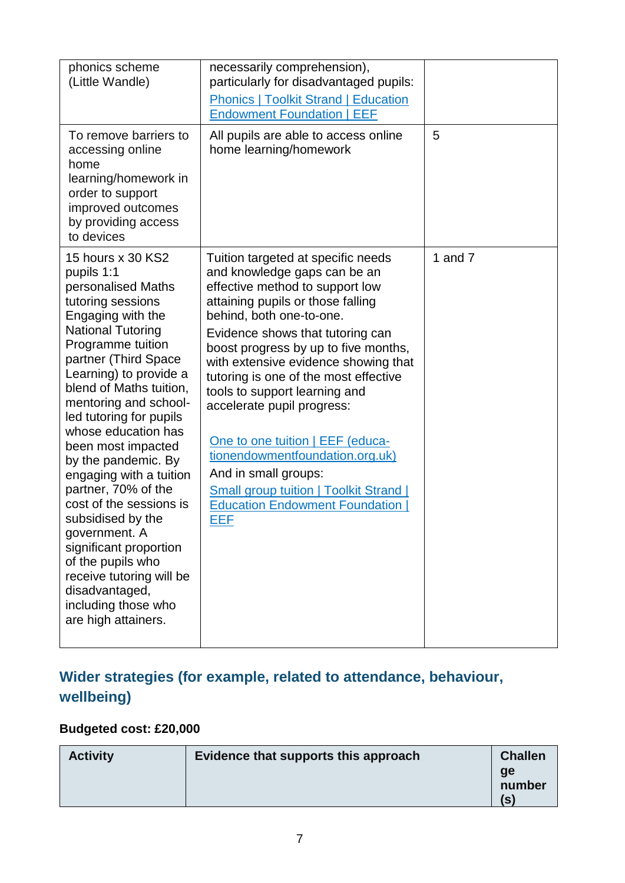| phonics scheme<br>(Little Wandle)                                                                                                                                                                                                                                                                                                                                                                                                                                                                                                                                                                                   | necessarily comprehension),<br>particularly for disadvantaged pupils:<br><b>Phonics   Toolkit Strand   Education</b><br><b>Endowment Foundation   EEF</b>                                                                                                                                                                                                                                                                                                                                                                                                                                          |           |
|---------------------------------------------------------------------------------------------------------------------------------------------------------------------------------------------------------------------------------------------------------------------------------------------------------------------------------------------------------------------------------------------------------------------------------------------------------------------------------------------------------------------------------------------------------------------------------------------------------------------|----------------------------------------------------------------------------------------------------------------------------------------------------------------------------------------------------------------------------------------------------------------------------------------------------------------------------------------------------------------------------------------------------------------------------------------------------------------------------------------------------------------------------------------------------------------------------------------------------|-----------|
| To remove barriers to<br>accessing online<br>home<br>learning/homework in<br>order to support<br>improved outcomes<br>by providing access<br>to devices                                                                                                                                                                                                                                                                                                                                                                                                                                                             | All pupils are able to access online<br>home learning/homework                                                                                                                                                                                                                                                                                                                                                                                                                                                                                                                                     | 5         |
| 15 hours x 30 KS2<br>pupils 1:1<br>personalised Maths<br>tutoring sessions<br>Engaging with the<br><b>National Tutoring</b><br>Programme tuition<br>partner (Third Space<br>Learning) to provide a<br>blend of Maths tuition,<br>mentoring and school-<br>led tutoring for pupils<br>whose education has<br>been most impacted<br>by the pandemic. By<br>engaging with a tuition<br>partner, 70% of the<br>cost of the sessions is<br>subsidised by the<br>government. A<br>significant proportion<br>of the pupils who<br>receive tutoring will be<br>disadvantaged,<br>including those who<br>are high attainers. | Tuition targeted at specific needs<br>and knowledge gaps can be an<br>effective method to support low<br>attaining pupils or those falling<br>behind, both one-to-one.<br>Evidence shows that tutoring can<br>boost progress by up to five months,<br>with extensive evidence showing that<br>tutoring is one of the most effective<br>tools to support learning and<br>accelerate pupil progress:<br>One to one tuition   EEF (educa-<br>tionendowmentfoundation.org.uk)<br>And in small groups:<br><b>Small group tuition   Toolkit Strand  </b><br><b>Education Endowment Foundation</b><br>EEF | 1 and $7$ |

## **Wider strategies (for example, related to attendance, behaviour, wellbeing)**

### **Budgeted cost: £20,000**

| <b>Activity</b> | Evidence that supports this approach | <b>Challen</b><br>ge<br>number |
|-----------------|--------------------------------------|--------------------------------|
|                 |                                      | (S)                            |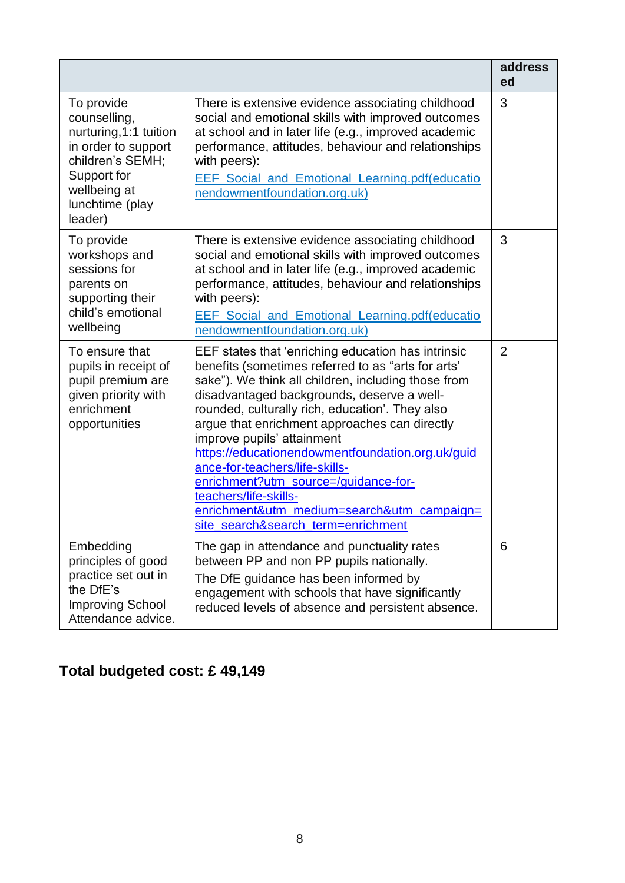|                                                                                                                                                              |                                                                                                                                                                                                                                                                                                                                                                                                                                                                                                                                                                                            | address<br>ed  |
|--------------------------------------------------------------------------------------------------------------------------------------------------------------|--------------------------------------------------------------------------------------------------------------------------------------------------------------------------------------------------------------------------------------------------------------------------------------------------------------------------------------------------------------------------------------------------------------------------------------------------------------------------------------------------------------------------------------------------------------------------------------------|----------------|
| To provide<br>counselling,<br>nurturing, 1:1 tuition<br>in order to support<br>children's SEMH;<br>Support for<br>wellbeing at<br>lunchtime (play<br>leader) | There is extensive evidence associating childhood<br>social and emotional skills with improved outcomes<br>at school and in later life (e.g., improved academic<br>performance, attitudes, behaviour and relationships<br>with peers):<br>EEF Social and Emotional Learning.pdf(educatio<br>nendowmentfoundation.org.uk)                                                                                                                                                                                                                                                                   | 3              |
| To provide<br>workshops and<br>sessions for<br>parents on<br>supporting their<br>child's emotional<br>wellbeing                                              | There is extensive evidence associating childhood<br>social and emotional skills with improved outcomes<br>at school and in later life (e.g., improved academic<br>performance, attitudes, behaviour and relationships<br>with peers):<br>EEF Social and Emotional Learning.pdf(educatio<br>nendowmentfoundation.org.uk)                                                                                                                                                                                                                                                                   | 3              |
| To ensure that<br>pupils in receipt of<br>pupil premium are<br>given priority with<br>enrichment<br>opportunities                                            | EEF states that 'enriching education has intrinsic<br>benefits (sometimes referred to as "arts for arts'<br>sake"). We think all children, including those from<br>disadvantaged backgrounds, deserve a well-<br>rounded, culturally rich, education'. They also<br>argue that enrichment approaches can directly<br>improve pupils' attainment<br>https://educationendowmentfoundation.org.uk/guid<br>ance-for-teachers/life-skills-<br>enrichment?utm_source=/guidance-for-<br>teachers/life-skills-<br>enrichment&utm_medium=search&utm_campaign=<br>site_search&search_term=enrichment | $\overline{2}$ |
| Embedding<br>principles of good<br>practice set out in<br>the DfE's<br><b>Improving School</b><br>Attendance advice.                                         | The gap in attendance and punctuality rates<br>between PP and non PP pupils nationally.<br>The DfE guidance has been informed by<br>engagement with schools that have significantly<br>reduced levels of absence and persistent absence.                                                                                                                                                                                                                                                                                                                                                   | 6              |

# **Total budgeted cost: £ 49,149**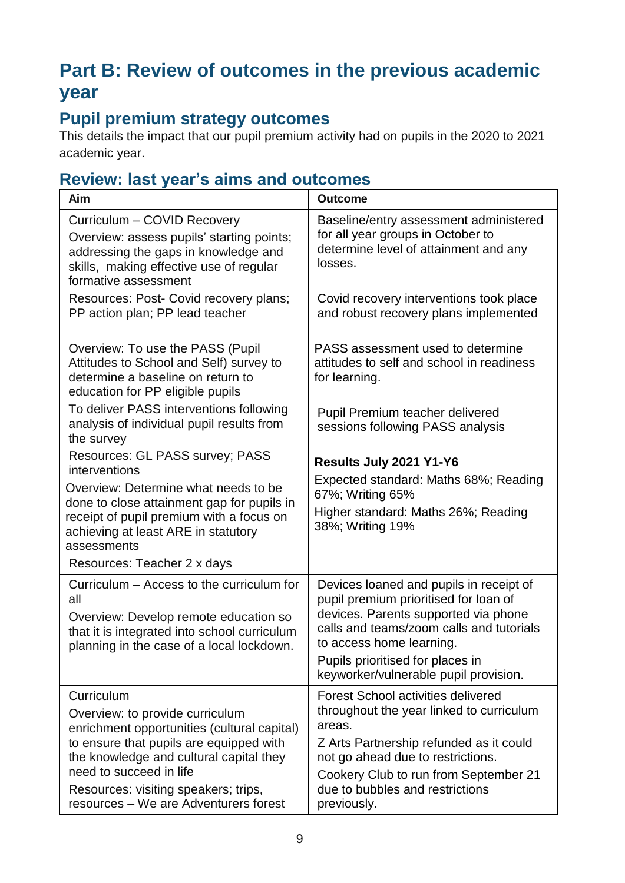# **Part B: Review of outcomes in the previous academic year**

### **Pupil premium strategy outcomes**

This details the impact that our pupil premium activity had on pupils in the 2020 to 2021 academic year.

### **Review: last year's aims and outcomes**

| <b>Aim</b>                                                                                                                                                                                                                                                                                     | <b>Outcome</b>                                                                                                                                                                                                                                                                |
|------------------------------------------------------------------------------------------------------------------------------------------------------------------------------------------------------------------------------------------------------------------------------------------------|-------------------------------------------------------------------------------------------------------------------------------------------------------------------------------------------------------------------------------------------------------------------------------|
| Curriculum - COVID Recovery<br>Overview: assess pupils' starting points;<br>addressing the gaps in knowledge and<br>skills, making effective use of regular<br>formative assessment                                                                                                            | Baseline/entry assessment administered<br>for all year groups in October to<br>determine level of attainment and any<br>losses.                                                                                                                                               |
| Resources: Post- Covid recovery plans;<br>PP action plan; PP lead teacher                                                                                                                                                                                                                      | Covid recovery interventions took place<br>and robust recovery plans implemented                                                                                                                                                                                              |
| Overview: To use the PASS (Pupil<br>Attitudes to School and Self) survey to<br>determine a baseline on return to<br>education for PP eligible pupils                                                                                                                                           | PASS assessment used to determine<br>attitudes to self and school in readiness<br>for learning.                                                                                                                                                                               |
| To deliver PASS interventions following<br>analysis of individual pupil results from<br>the survey                                                                                                                                                                                             | Pupil Premium teacher delivered<br>sessions following PASS analysis                                                                                                                                                                                                           |
| Resources: GL PASS survey; PASS<br>interventions                                                                                                                                                                                                                                               | Results July 2021 Y1-Y6                                                                                                                                                                                                                                                       |
| Overview: Determine what needs to be<br>done to close attainment gap for pupils in<br>receipt of pupil premium with a focus on<br>achieving at least ARE in statutory<br>assessments                                                                                                           | Expected standard: Maths 68%; Reading<br>67%; Writing 65%<br>Higher standard: Maths 26%; Reading<br>38%; Writing 19%                                                                                                                                                          |
| Resources: Teacher 2 x days                                                                                                                                                                                                                                                                    |                                                                                                                                                                                                                                                                               |
| Curriculum – Access to the curriculum for<br>all<br>Overview: Develop remote education so<br>that it is integrated into school curriculum<br>planning in the case of a local lockdown.                                                                                                         | Devices loaned and pupils in receipt of<br>pupil premium prioritised for loan of<br>devices. Parents supported via phone<br>calls and teams/zoom calls and tutorials<br>to access home learning.<br>Pupils prioritised for places in<br>keyworker/vulnerable pupil provision. |
| Curriculum<br>Overview: to provide curriculum<br>enrichment opportunities (cultural capital)<br>to ensure that pupils are equipped with<br>the knowledge and cultural capital they<br>need to succeed in life<br>Resources: visiting speakers; trips,<br>resources - We are Adventurers forest | <b>Forest School activities delivered</b><br>throughout the year linked to curriculum<br>areas.<br>Z Arts Partnership refunded as it could<br>not go ahead due to restrictions.<br>Cookery Club to run from September 21<br>due to bubbles and restrictions<br>previously.    |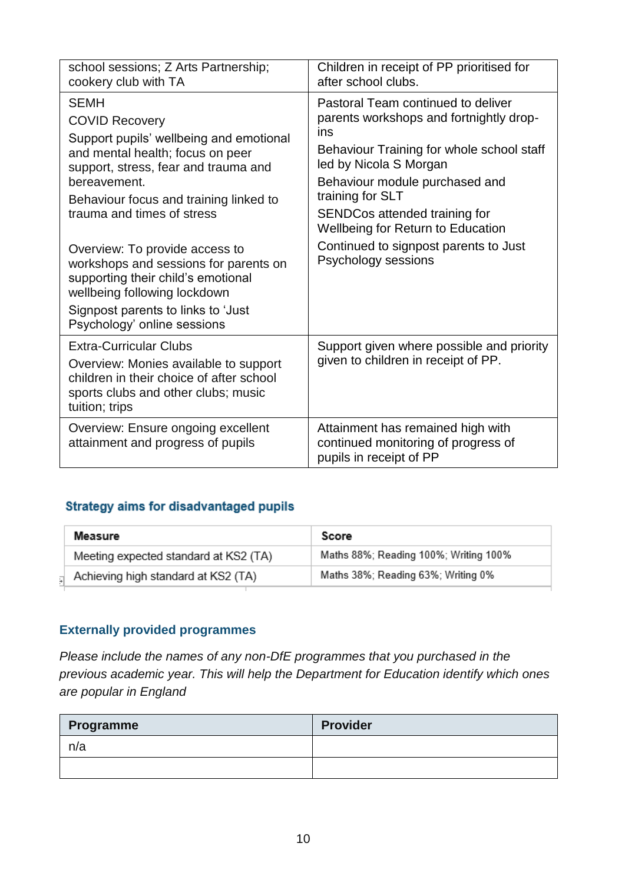| school sessions; Z Arts Partnership;<br>cookery club with TA                                                                                                                                                                                        | Children in receipt of PP prioritised for<br>after school clubs.                                                                                                                                                                                                                        |
|-----------------------------------------------------------------------------------------------------------------------------------------------------------------------------------------------------------------------------------------------------|-----------------------------------------------------------------------------------------------------------------------------------------------------------------------------------------------------------------------------------------------------------------------------------------|
| <b>SEMH</b><br><b>COVID Recovery</b><br>Support pupils' wellbeing and emotional<br>and mental health; focus on peer<br>support, stress, fear and trauma and<br>bereavement.<br>Behaviour focus and training linked to<br>trauma and times of stress | Pastoral Team continued to deliver<br>parents workshops and fortnightly drop-<br>ins<br>Behaviour Training for whole school staff<br>led by Nicola S Morgan<br>Behaviour module purchased and<br>training for SLT<br>SENDCos attended training for<br>Wellbeing for Return to Education |
| Overview: To provide access to<br>workshops and sessions for parents on<br>supporting their child's emotional<br>wellbeing following lockdown<br>Signpost parents to links to 'Just<br>Psychology' online sessions                                  | Continued to signpost parents to Just<br>Psychology sessions                                                                                                                                                                                                                            |
| <b>Extra-Curricular Clubs</b><br>Overview: Monies available to support<br>children in their choice of after school<br>sports clubs and other clubs; music<br>tuition; trips                                                                         | Support given where possible and priority<br>given to children in receipt of PP.                                                                                                                                                                                                        |
| Overview: Ensure ongoing excellent<br>attainment and progress of pupils                                                                                                                                                                             | Attainment has remained high with<br>continued monitoring of progress of<br>pupils in receipt of PP                                                                                                                                                                                     |

#### **Strategy aims for disadvantaged pupils**

| Measure                               | Score                                 |
|---------------------------------------|---------------------------------------|
| Meeting expected standard at KS2 (TA) | Maths 88%; Reading 100%; Writing 100% |
| Achieving high standard at KS2 (TA)   | Maths 38%; Reading 63%; Writing 0%    |
|                                       |                                       |

#### **Externally provided programmes**

*Please include the names of any non-DfE programmes that you purchased in the previous academic year. This will help the Department for Education identify which ones are popular in England*

| Programme | <b>Provider</b> |
|-----------|-----------------|
| n/a       |                 |
|           |                 |